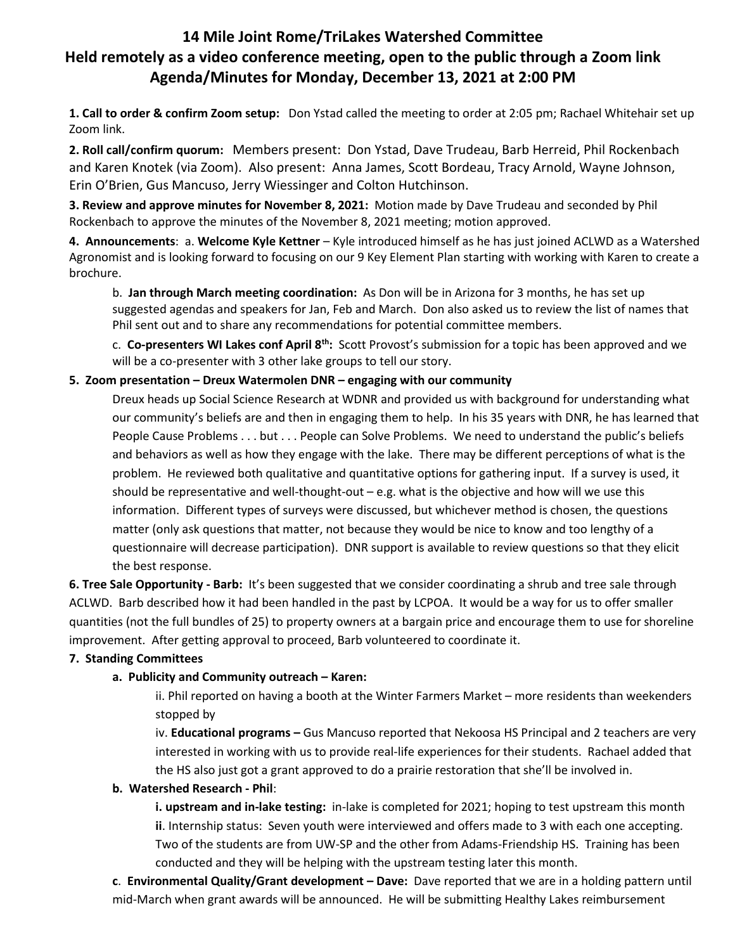# **14 Mile Joint Rome/TriLakes Watershed Committee Held remotely as a video conference meeting, open to the public through a Zoom link Agenda/Minutes for Monday, December 13, 2021 at 2:00 PM**

**1. Call to order & confirm Zoom setup:** Don Ystad called the meeting to order at 2:05 pm; Rachael Whitehair set up Zoom link.

**2. Roll call/confirm quorum:** Members present: Don Ystad, Dave Trudeau, Barb Herreid, Phil Rockenbach and Karen Knotek (via Zoom). Also present: Anna James, Scott Bordeau, Tracy Arnold, Wayne Johnson, Erin O'Brien, Gus Mancuso, Jerry Wiessinger and Colton Hutchinson.

**3. Review and approve minutes for November 8, 2021:** Motion made by Dave Trudeau and seconded by Phil Rockenbach to approve the minutes of the November 8, 2021 meeting; motion approved.

**4. Announcements**: a. **Welcome Kyle Kettner** – Kyle introduced himself as he has just joined ACLWD as a Watershed Agronomist and is looking forward to focusing on our 9 Key Element Plan starting with working with Karen to create a brochure.

b. **Jan through March meeting coordination:** As Don will be in Arizona for 3 months, he has set up suggested agendas and speakers for Jan, Feb and March. Don also asked us to review the list of names that Phil sent out and to share any recommendations for potential committee members.

c. **Co-presenters WI Lakes conf April 8th:** Scott Provost's submission for a topic has been approved and we will be a co-presenter with 3 other lake groups to tell our story.

# **5. Zoom presentation – Dreux Watermolen DNR – engaging with our community**

Dreux heads up Social Science Research at WDNR and provided us with background for understanding what our community's beliefs are and then in engaging them to help. In his 35 years with DNR, he has learned that People Cause Problems . . . but . . . People can Solve Problems. We need to understand the public's beliefs and behaviors as well as how they engage with the lake. There may be different perceptions of what is the problem. He reviewed both qualitative and quantitative options for gathering input. If a survey is used, it should be representative and well-thought-out – e.g. what is the objective and how will we use this information. Different types of surveys were discussed, but whichever method is chosen, the questions matter (only ask questions that matter, not because they would be nice to know and too lengthy of a questionnaire will decrease participation). DNR support is available to review questions so that they elicit the best response.

**6. Tree Sale Opportunity - Barb:** It's been suggested that we consider coordinating a shrub and tree sale through ACLWD. Barb described how it had been handled in the past by LCPOA. It would be a way for us to offer smaller quantities (not the full bundles of 25) to property owners at a bargain price and encourage them to use for shoreline improvement. After getting approval to proceed, Barb volunteered to coordinate it.

### **7. Standing Committees**

# **a. Publicity and Community outreach – Karen:**

ii. Phil reported on having a booth at the Winter Farmers Market – more residents than weekenders stopped by

iv. **Educational programs –** Gus Mancuso reported that Nekoosa HS Principal and 2 teachers are very interested in working with us to provide real-life experiences for their students. Rachael added that the HS also just got a grant approved to do a prairie restoration that she'll be involved in.

### **b. Watershed Research - Phil**:

**i. upstream and in-lake testing:** in-lake is completed for 2021; hoping to test upstream this month **ii**. Internship status: Seven youth were interviewed and offers made to 3 with each one accepting. Two of the students are from UW-SP and the other from Adams-Friendship HS. Training has been conducted and they will be helping with the upstream testing later this month.

**c**. **Environmental Quality/Grant development – Dave:** Dave reported that we are in a holding pattern until mid-March when grant awards will be announced. He will be submitting Healthy Lakes reimbursement